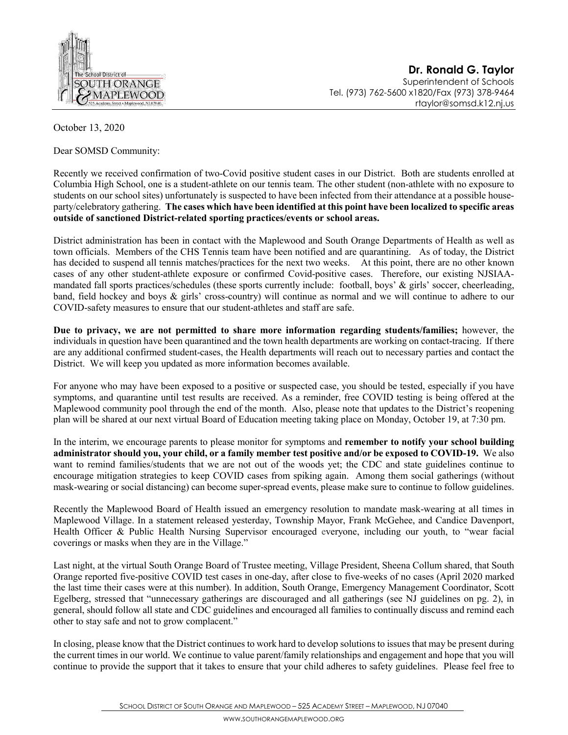

**Dr. Ronald G. Taylor** Superintendent of Schools Tel. (973) 762-5600 x1820/Fax (973) 378-9464 rtaylor@somsd.k12.nj.us

October 13, 2020

Dear SOMSD Community:

Recently we received confirmation of two-Covid positive student cases in our District. Both are students enrolled at Columbia High School, one is a student-athlete on our tennis team. The other student (non-athlete with no exposure to students on our school sites) unfortunately is suspected to have been infected from their attendance at a possible houseparty/celebratory gathering. **The cases which have been identified at this point have been localized to specific areas outside of sanctioned District-related sporting practices/events or school areas.** 

District administration has been in contact with the Maplewood and South Orange Departments of Health as well as town officials. Members of the CHS Tennis team have been notified and are quarantining. As of today, the District has decided to suspend all tennis matches/practices for the next two weeks. At this point, there are no other known cases of any other student-athlete exposure or confirmed Covid-positive cases. Therefore, our existing NJSIAAmandated fall sports practices/schedules (these sports currently include: football, boys' & girls' soccer, cheerleading, band, field hockey and boys & girls' cross-country) will continue as normal and we will continue to adhere to our COVID-safety measures to ensure that our student-athletes and staff are safe.

**Due to privacy, we are not permitted to share more information regarding students/families;** however, the individuals in question have been quarantined and the town health departments are working on contact-tracing. If there are any additional confirmed student-cases, the Health departments will reach out to necessary parties and contact the District. We will keep you updated as more information becomes available.

For anyone who may have been exposed to a positive or suspected case, you should be tested, especially if you have symptoms, and quarantine until test results are received. As a reminder, free COVID testing is being offered at the Maplewood community pool through the end of the month. Also, please note that updates to the District's reopening plan will be shared at our next virtual Board of Education meeting taking place on Monday, October 19, at 7:30 pm.

In the interim, we encourage parents to please monitor for symptoms and **remember to notify your school building administrator should you, your child, or a family member test positive and/or be exposed to COVID-19.** We also want to remind families/students that we are not out of the woods yet; the CDC and state guidelines continue to encourage mitigation strategies to keep COVID cases from spiking again. Among them social gatherings (without mask-wearing or social distancing) can become super-spread events, please make sure to continue to follow guidelines.

Recently the Maplewood Board of Health issued an emergency resolution to mandate mask-wearing at all times in Maplewood Village. In a statement released yesterday, Township Mayor, Frank McGehee, and Candice Davenport, Health Officer & Public Health Nursing Supervisor encouraged everyone, including our youth, to "wear facial coverings or masks when they are in the Village."

Last night, at the virtual South Orange Board of Trustee meeting, Village President, Sheena Collum shared, that South Orange reported five-positive COVID test cases in one-day, after close to five-weeks of no cases (April 2020 marked the last time their cases were at this number). In addition, South Orange, Emergency Management Coordinator, Scott Egelberg, stressed that "unnecessary gatherings are discouraged and all gatherings (see NJ guidelines on pg. 2), in general, should follow all state and CDC guidelines and encouraged all families to continually discuss and remind each other to stay safe and not to grow complacent."

In closing, please know that the District continues to work hard to develop solutions to issues that may be present during the current times in our world. We continue to value parent/family relationships and engagement and hope that you will continue to provide the support that it takes to ensure that your child adheres to safety guidelines. Please feel free to